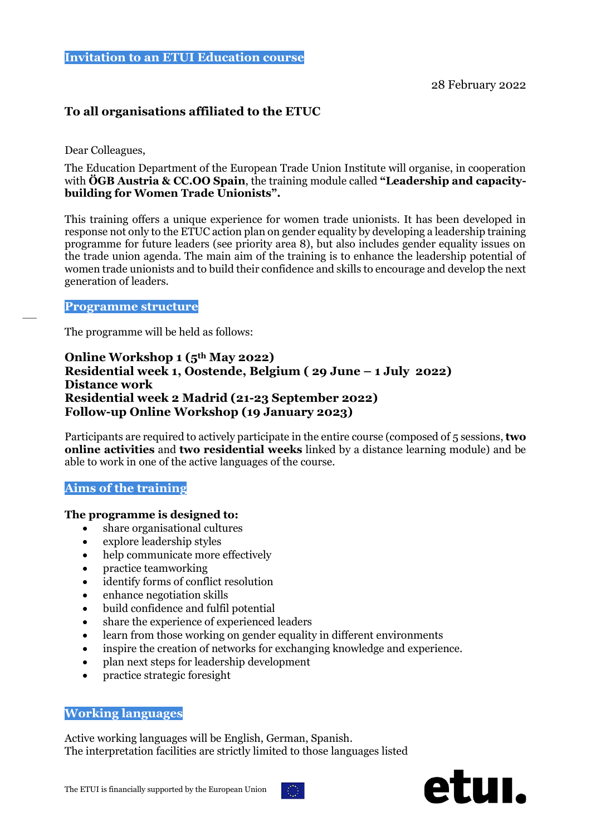# **To all organisations affiliated to the ETUC**

Dear Colleagues,

The Education Department of the European Trade Union Institute will organise, in cooperation with **ÖGB Austria & CC.OO Spain**, the training module called **"Leadership and capacitybuilding for Women Trade Unionists".**

This training offers a unique experience for women trade unionists. It has been developed in response not only to the ETUC action plan on gender equality by developing a leadership training programme for future leaders (see priority area 8), but also includes gender equality issues on the trade union agenda. The main aim of the training is to enhance the leadership potential of women trade unionists and to build their confidence and skills to encourage and develop the next generation of leaders.

#### **Programme structure**

The programme will be held as follows:

## **Online Workshop 1 (5th May 2022) Residential week 1, Oostende, Belgium ( 29 June – 1 July 2022) Distance work Residential week 2 Madrid (21-23 September 2022) Follow-up Online Workshop (19 January 2023)**

Participants are required to actively participate in the entire course (composed of 5 sessions, **two online activities** and **two residential weeks** linked by a distance learning module) and be able to work in one of the active languages of the course.

## **Aims of the training**

## **The programme is designed to:**

- share organisational cultures
- explore leadership styles
- help communicate more effectively
- practice teamworking
- identify forms of conflict resolution
- enhance negotiation skills
- build confidence and fulfil potential
- share the experience of experienced leaders
- learn from those working on gender equality in different environments
- inspire the creation of networks for exchanging knowledge and experience.
- plan next steps for leadership development
- practice strategic foresight

### **Working languages**

Active working languages will be English, German, Spanish. The interpretation facilities are strictly limited to those languages listed